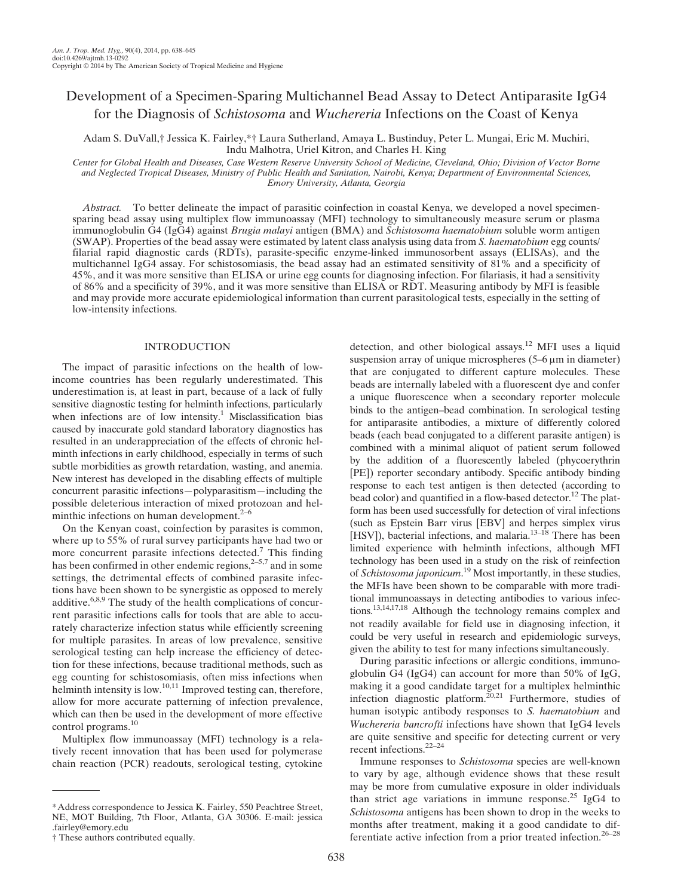# Development of a Specimen-Sparing Multichannel Bead Assay to Detect Antiparasite IgG4 for the Diagnosis of Schistosoma and Wuchereria Infections on the Coast of Kenya

Adam S. DuVall,† Jessica K. Fairley,\*† Laura Sutherland, Amaya L. Bustinduy, Peter L. Mungai, Eric M. Muchiri, Indu Malhotra, Uriel Kitron, and Charles H. King

Center for Global Health and Diseases, Case Western Reserve University School of Medicine, Cleveland, Ohio; Division of Vector Borne and Neglected Tropical Diseases, Ministry of Public Health and Sanitation, Nairobi, Kenya; Department of Environmental Sciences, Emory University, Atlanta, Georgia

Abstract. To better delineate the impact of parasitic coinfection in coastal Kenya, we developed a novel specimensparing bead assay using multiplex flow immunoassay (MFI) technology to simultaneously measure serum or plasma immunoglobulin G4 (IgG4) against *Brugia malayi* antigen (BMA) and *Schistosoma haematobium* soluble worm antigen (SWAP). Properties of the bead assay were estimated by latent class analysis using data from S. haematobium egg counts/ filarial rapid diagnostic cards (RDTs), parasite-specific enzyme-linked immunosorbent assays (ELISAs), and the multichannel IgG4 assay. For schistosomiasis, the bead assay had an estimated sensitivity of 81% and a specificity of 45%, and it was more sensitive than ELISA or urine egg counts for diagnosing infection. For filariasis, it had a sensitivity of 86% and a specificity of 39%, and it was more sensitive than ELISA or RDT. Measuring antibody by MFI is feasible and may provide more accurate epidemiological information than current parasitological tests, especially in the setting of low-intensity infections.

# INTRODUCTION

The impact of parasitic infections on the health of lowincome countries has been regularly underestimated. This underestimation is, at least in part, because of a lack of fully sensitive diagnostic testing for helminth infections, particularly when infections are of low intensity.<sup>1</sup> Misclassification bias caused by inaccurate gold standard laboratory diagnostics has resulted in an underappreciation of the effects of chronic helminth infections in early childhood, especially in terms of such subtle morbidities as growth retardation, wasting, and anemia. New interest has developed in the disabling effects of multiple concurrent parasitic infections—polyparasitism—including the possible deleterious interaction of mixed protozoan and helminthic infections on human development. $2-6$ 

On the Kenyan coast, coinfection by parasites is common, where up to 55% of rural survey participants have had two or more concurrent parasite infections detected.<sup>7</sup> This finding has been confirmed in other endemic regions,<sup>2–5,7</sup> and in some settings, the detrimental effects of combined parasite infections have been shown to be synergistic as opposed to merely additive.<sup>6,8,9</sup> The study of the health complications of concurrent parasitic infections calls for tools that are able to accurately characterize infection status while efficiently screening for multiple parasites. In areas of low prevalence, sensitive serological testing can help increase the efficiency of detection for these infections, because traditional methods, such as egg counting for schistosomiasis, often miss infections when helminth intensity is low.<sup>10,11</sup> Improved testing can, therefore, allow for more accurate patterning of infection prevalence, which can then be used in the development of more effective control programs.<sup>10</sup>

Multiplex flow immunoassay (MFI) technology is a relatively recent innovation that has been used for polymerase chain reaction (PCR) readouts, serological testing, cytokine detection, and other biological assays.<sup>12</sup> MFI uses a liquid suspension array of unique microspheres  $(5-6 \mu m)$  in diameter) that are conjugated to different capture molecules. These beads are internally labeled with a fluorescent dye and confer a unique fluorescence when a secondary reporter molecule binds to the antigen–bead combination. In serological testing for antiparasite antibodies, a mixture of differently colored beads (each bead conjugated to a different parasite antigen) is combined with a minimal aliquot of patient serum followed by the addition of a fluorescently labeled (phycoerythrin [PE]) reporter secondary antibody. Specific antibody binding response to each test antigen is then detected (according to bead color) and quantified in a flow-based detector.<sup>12</sup> The platform has been used successfully for detection of viral infections (such as Epstein Barr virus [EBV] and herpes simplex virus [HSV]), bacterial infections, and malaria.<sup>13–18</sup> There has been limited experience with helminth infections, although MFI technology has been used in a study on the risk of reinfection of Schistosoma japonicum.<sup>19</sup> Most importantly, in these studies, the MFIs have been shown to be comparable with more traditional immunoassays in detecting antibodies to various infections.13,14,17,18 Although the technology remains complex and not readily available for field use in diagnosing infection, it could be very useful in research and epidemiologic surveys, given the ability to test for many infections simultaneously.

During parasitic infections or allergic conditions, immunoglobulin G4 (IgG4) can account for more than 50% of IgG, making it a good candidate target for a multiplex helminthic infection diagnostic platform.<sup>20,21</sup> Furthermore, studies of human isotypic antibody responses to S. haematobium and Wuchereria bancrofti infections have shown that IgG4 levels are quite sensitive and specific for detecting current or very recent infections.<sup>22–24</sup>

Immune responses to Schistosoma species are well-known to vary by age, although evidence shows that these result may be more from cumulative exposure in older individuals than strict age variations in immune response.<sup>25</sup> IgG4 to Schistosoma antigens has been shown to drop in the weeks to months after treatment, making it a good candidate to differentiate active infection from a prior treated infection.26–<sup>28</sup>

<sup>\*</sup>Address correspondence to Jessica K. Fairley, 550 Peachtree Street, NE, MOT Building, 7th Floor, Atlanta, GA 30306. E-mail: jessica .fairley@emory.edu

<sup>†</sup> These authors contributed equally.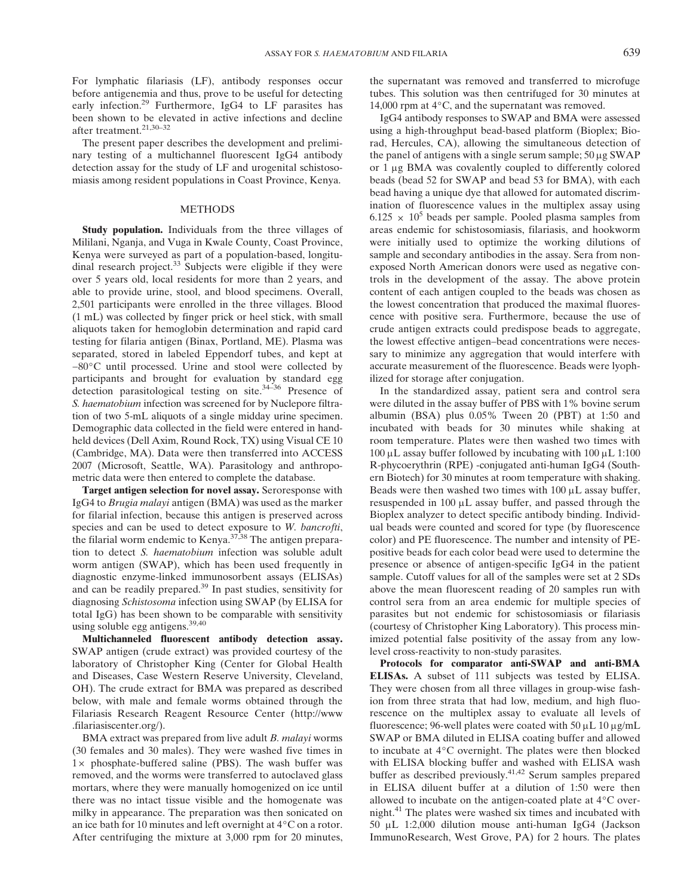For lymphatic filariasis (LF), antibody responses occur before antigenemia and thus, prove to be useful for detecting early infection.<sup>29</sup> Furthermore, IgG4 to LF parasites has been shown to be elevated in active infections and decline after treatment.<sup>21,30-32</sup>

The present paper describes the development and preliminary testing of a multichannel fluorescent IgG4 antibody detection assay for the study of LF and urogenital schistosomiasis among resident populations in Coast Province, Kenya.

## METHODS

Study population. Individuals from the three villages of Mililani, Nganja, and Vuga in Kwale County, Coast Province, Kenya were surveyed as part of a population-based, longitudinal research project.<sup>33</sup> Subjects were eligible if they were over 5 years old, local residents for more than 2 years, and able to provide urine, stool, and blood specimens. Overall, 2,501 participants were enrolled in the three villages. Blood (1 mL) was collected by finger prick or heel stick, with small aliquots taken for hemoglobin determination and rapid card testing for filaria antigen (Binax, Portland, ME). Plasma was separated, stored in labeled Eppendorf tubes, and kept at −80°C until processed. Urine and stool were collected by participants and brought for evaluation by standard egg detection parasitological testing on site.34–<sup>36</sup> Presence of S. haematobium infection was screened for by Nuclepore filtration of two 5-mL aliquots of a single midday urine specimen. Demographic data collected in the field were entered in handheld devices (Dell Axim, Round Rock, TX) using Visual CE 10 (Cambridge, MA). Data were then transferred into ACCESS 2007 (Microsoft, Seattle, WA). Parasitology and anthropometric data were then entered to complete the database.

Target antigen selection for novel assay. Seroresponse with IgG4 to Brugia malayi antigen (BMA) was used as the marker for filarial infection, because this antigen is preserved across species and can be used to detect exposure to W. bancrofti, the filarial worm endemic to Kenya.<sup>37,38</sup> The antigen preparation to detect S. haematobium infection was soluble adult worm antigen (SWAP), which has been used frequently in diagnostic enzyme-linked immunosorbent assays (ELISAs) and can be readily prepared.39 In past studies, sensitivity for diagnosing Schistosoma infection using SWAP (by ELISA for total IgG) has been shown to be comparable with sensitivity using soluble egg antigens.<sup>39,40</sup>

Multichanneled fluorescent antibody detection assay. SWAP antigen (crude extract) was provided courtesy of the laboratory of Christopher King (Center for Global Health and Diseases, Case Western Reserve University, Cleveland, OH). The crude extract for BMA was prepared as described below, with male and female worms obtained through the Filariasis Research Reagent Resource Center (http://www .filariasiscenter.org/).

BMA extract was prepared from live adult B. malayi worms (30 females and 30 males). They were washed five times in  $1 \times$  phosphate-buffered saline (PBS). The wash buffer was removed, and the worms were transferred to autoclaved glass mortars, where they were manually homogenized on ice until there was no intact tissue visible and the homogenate was milky in appearance. The preparation was then sonicated on an ice bath for 10 minutes and left overnight at 4°C on a rotor. After centrifuging the mixture at 3,000 rpm for 20 minutes, the supernatant was removed and transferred to microfuge tubes. This solution was then centrifuged for 30 minutes at 14,000 rpm at 4°C, and the supernatant was removed.

IgG4 antibody responses to SWAP and BMA were assessed using a high-throughput bead-based platform (Bioplex; Biorad, Hercules, CA), allowing the simultaneous detection of the panel of antigens with a single serum sample;  $50 \mu g$  SWAP or 1 µg BMA was covalently coupled to differently colored beads (bead 52 for SWAP and bead 53 for BMA), with each bead having a unique dye that allowed for automated discrimination of fluorescence values in the multiplex assay using  $6.125 \times 10^5$  beads per sample. Pooled plasma samples from areas endemic for schistosomiasis, filariasis, and hookworm were initially used to optimize the working dilutions of sample and secondary antibodies in the assay. Sera from nonexposed North American donors were used as negative controls in the development of the assay. The above protein content of each antigen coupled to the beads was chosen as the lowest concentration that produced the maximal fluorescence with positive sera. Furthermore, because the use of crude antigen extracts could predispose beads to aggregate, the lowest effective antigen–bead concentrations were necessary to minimize any aggregation that would interfere with accurate measurement of the fluorescence. Beads were lyophilized for storage after conjugation.

In the standardized assay, patient sera and control sera were diluted in the assay buffer of PBS with 1% bovine serum albumin (BSA) plus 0.05% Tween 20 (PBT) at 1:50 and incubated with beads for 30 minutes while shaking at room temperature. Plates were then washed two times with 100  $\mu$ L assay buffer followed by incubating with 100  $\mu$ L 1:100 R-phycoerythrin (RPE) -conjugated anti-human IgG4 (Southern Biotech) for 30 minutes at room temperature with shaking. Beads were then washed two times with  $100 \mu L$  assay buffer, resuspended in  $100 \mu L$  assay buffer, and passed through the Bioplex analyzer to detect specific antibody binding. Individual beads were counted and scored for type (by fluorescence color) and PE fluorescence. The number and intensity of PEpositive beads for each color bead were used to determine the presence or absence of antigen-specific IgG4 in the patient sample. Cutoff values for all of the samples were set at 2 SDs above the mean fluorescent reading of 20 samples run with control sera from an area endemic for multiple species of parasites but not endemic for schistosomiasis or filariasis (courtesy of Christopher King Laboratory). This process minimized potential false positivity of the assay from any lowlevel cross-reactivity to non-study parasites.

Protocols for comparator anti-SWAP and anti-BMA ELISAs. A subset of 111 subjects was tested by ELISA. They were chosen from all three villages in group-wise fashion from three strata that had low, medium, and high fluorescence on the multiplex assay to evaluate all levels of fluorescence; 96-well plates were coated with 50  $\mu$ L 10  $\mu$ g/mL SWAP or BMA diluted in ELISA coating buffer and allowed to incubate at 4°C overnight. The plates were then blocked with ELISA blocking buffer and washed with ELISA wash buffer as described previously.<sup>41,42</sup> Serum samples prepared in ELISA diluent buffer at a dilution of 1:50 were then allowed to incubate on the antigen-coated plate at 4°C overnight.<sup>41</sup> The plates were washed six times and incubated with 50  $\mu$ L 1:2,000 dilution mouse anti-human IgG4 (Jackson ImmunoResearch, West Grove, PA) for 2 hours. The plates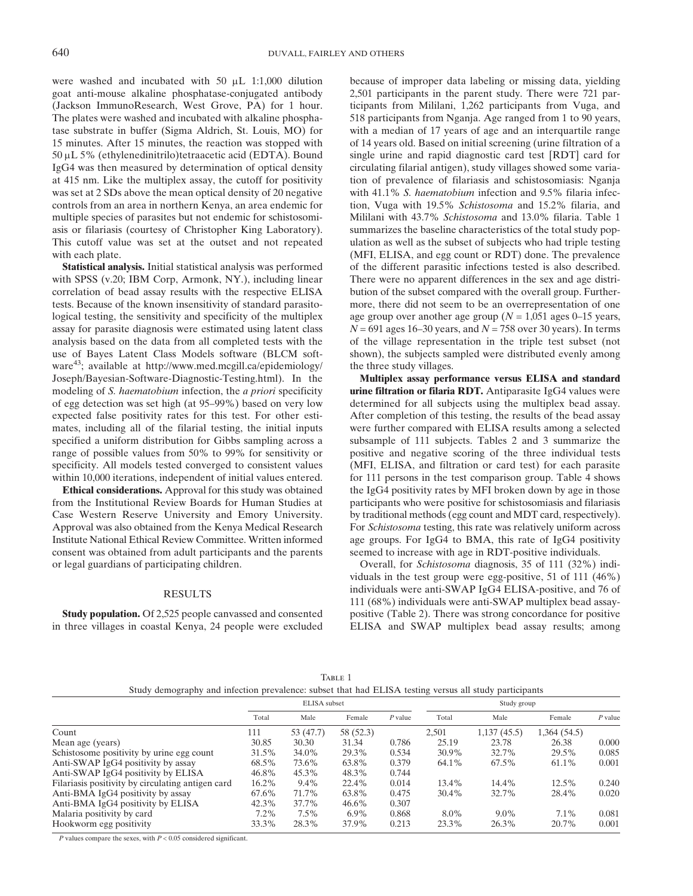were washed and incubated with 50  $\mu$ L 1:1,000 dilution goat anti-mouse alkaline phosphatase-conjugated antibody (Jackson ImmunoResearch, West Grove, PA) for 1 hour. The plates were washed and incubated with alkaline phosphatase substrate in buffer (Sigma Aldrich, St. Louis, MO) for 15 minutes. After 15 minutes, the reaction was stopped with  $50 \mu L$  5% (ethylenedinitrilo)tetraacetic acid (EDTA). Bound IgG4 was then measured by determination of optical density at 415 nm. Like the multiplex assay, the cutoff for positivity was set at 2 SDs above the mean optical density of 20 negative controls from an area in northern Kenya, an area endemic for multiple species of parasites but not endemic for schistosomiasis or filariasis (courtesy of Christopher King Laboratory). This cutoff value was set at the outset and not repeated with each plate.

Statistical analysis. Initial statistical analysis was performed with SPSS (v.20; IBM Corp, Armonk, NY.), including linear correlation of bead assay results with the respective ELISA tests. Because of the known insensitivity of standard parasitological testing, the sensitivity and specificity of the multiplex assay for parasite diagnosis were estimated using latent class analysis based on the data from all completed tests with the use of Bayes Latent Class Models software (BLCM software<sup>43</sup>; available at http://www.med.mcgill.ca/epidemiology/ Joseph/Bayesian-Software-Diagnostic-Testing.html). In the modeling of S. haematobium infection, the a priori specificity of egg detection was set high (at 95–99%) based on very low expected false positivity rates for this test. For other estimates, including all of the filarial testing, the initial inputs specified a uniform distribution for Gibbs sampling across a range of possible values from 50% to 99% for sensitivity or specificity. All models tested converged to consistent values within 10,000 iterations, independent of initial values entered.

Ethical considerations. Approval for this study was obtained from the Institutional Review Boards for Human Studies at Case Western Reserve University and Emory University. Approval was also obtained from the Kenya Medical Research Institute National Ethical Review Committee. Written informed consent was obtained from adult participants and the parents or legal guardians of participating children.

#### RESULTS

Study population. Of 2,525 people canvassed and consented in three villages in coastal Kenya, 24 people were excluded because of improper data labeling or missing data, yielding 2,501 participants in the parent study. There were 721 participants from Mililani, 1,262 participants from Vuga, and 518 participants from Nganja. Age ranged from 1 to 90 years, with a median of 17 years of age and an interquartile range of 14 years old. Based on initial screening (urine filtration of a single urine and rapid diagnostic card test [RDT] card for circulating filarial antigen), study villages showed some variation of prevalence of filariasis and schistosomiasis: Nganja with 41.1% S. haematobium infection and 9.5% filaria infection, Vuga with 19.5% Schistosoma and 15.2% filaria, and Mililani with 43.7% Schistosoma and 13.0% filaria. Table 1 summarizes the baseline characteristics of the total study population as well as the subset of subjects who had triple testing (MFI, ELISA, and egg count or RDT) done. The prevalence of the different parasitic infections tested is also described. There were no apparent differences in the sex and age distribution of the subset compared with the overall group. Furthermore, there did not seem to be an overrepresentation of one age group over another age group ( $N = 1,051$  ages 0–15 years,  $N = 691$  ages 16–30 years, and  $N = 758$  over 30 years). In terms of the village representation in the triple test subset (not shown), the subjects sampled were distributed evenly among the three study villages.

Multiplex assay performance versus ELISA and standard urine filtration or filaria RDT. Antiparasite IgG4 values were determined for all subjects using the multiplex bead assay. After completion of this testing, the results of the bead assay were further compared with ELISA results among a selected subsample of 111 subjects. Tables 2 and 3 summarize the positive and negative scoring of the three individual tests (MFI, ELISA, and filtration or card test) for each parasite for 111 persons in the test comparison group. Table 4 shows the IgG4 positivity rates by MFI broken down by age in those participants who were positive for schistosomiasis and filariasis by traditional methods (egg count and MDT card, respectively). For Schistosoma testing, this rate was relatively uniform across age groups. For IgG4 to BMA, this rate of IgG4 positivity seemed to increase with age in RDT-positive individuals.

Overall, for Schistosoma diagnosis, 35 of 111 (32%) individuals in the test group were egg-positive, 51 of 111 (46%) individuals were anti-SWAP IgG4 ELISA-positive, and 76 of 111 (68%) individuals were anti-SWAP multiplex bead assaypositive (Table 2). There was strong concordance for positive ELISA and SWAP multiplex bead assay results; among

| ĸг |  |
|----|--|
|    |  |

|  | Study demography and infection prevalence: subset that had ELISA testing versus all study participants |  |  |
|--|--------------------------------------------------------------------------------------------------------|--|--|
|--|--------------------------------------------------------------------------------------------------------|--|--|

|                                                   | ELISA subset |           |           |           | Study group |             |             |           |
|---------------------------------------------------|--------------|-----------|-----------|-----------|-------------|-------------|-------------|-----------|
|                                                   | Total        | Male      | Female    | $P$ value | Total       | Male        | Female      | $P$ value |
| Count                                             | 111          | 53 (47.7) | 58 (52.3) |           | 2,501       | 1,137(45.5) | 1,364(54.5) |           |
| Mean age (years)                                  | 30.85        | 30.30     | 31.34     | 0.786     | 25.19       | 23.78       | 26.38       | 0.000     |
| Schistosome positivity by urine egg count         | 31.5%        | 34.0%     | 29.3%     | 0.534     | 30.9%       | 32.7%       | 29.5%       | 0.085     |
| Anti-SWAP IgG4 positivity by assay                | 68.5%        | 73.6%     | 63.8%     | 0.379     | 64.1%       | 67.5%       | 61.1%       | 0.001     |
| Anti-SWAP IgG4 positivity by ELISA                | 46.8%        | 45.3%     | 48.3%     | 0.744     |             |             |             |           |
| Filariasis positivity by circulating antigen card | 16.2%        | $9.4\%$   | 22.4%     | 0.014     | 13.4%       | 14.4%       | 12.5%       | 0.240     |
| Anti-BMA IgG4 positivity by assay                 | 67.6%        | 71.7%     | 63.8%     | 0.475     | 30.4%       | 32.7%       | 28.4%       | 0.020     |
| Anti-BMA IgG4 positivity by ELISA                 | 42.3%        | 37.7%     | 46.6%     | 0.307     |             |             |             |           |
| Malaria positivity by card                        | $7.2\%$      | $7.5\%$   | $6.9\%$   | 0.868     | $8.0\%$     | $9.0\%$     | $7.1\%$     | 0.081     |
| Hookworm egg positivity                           | 33.3%        | 28.3%     | 37.9%     | 0.213     | 23.3%       | 26.3%       | 20.7%       | 0.001     |

 $P$  values compare the sexes, with  $P < 0.05$  considered significant.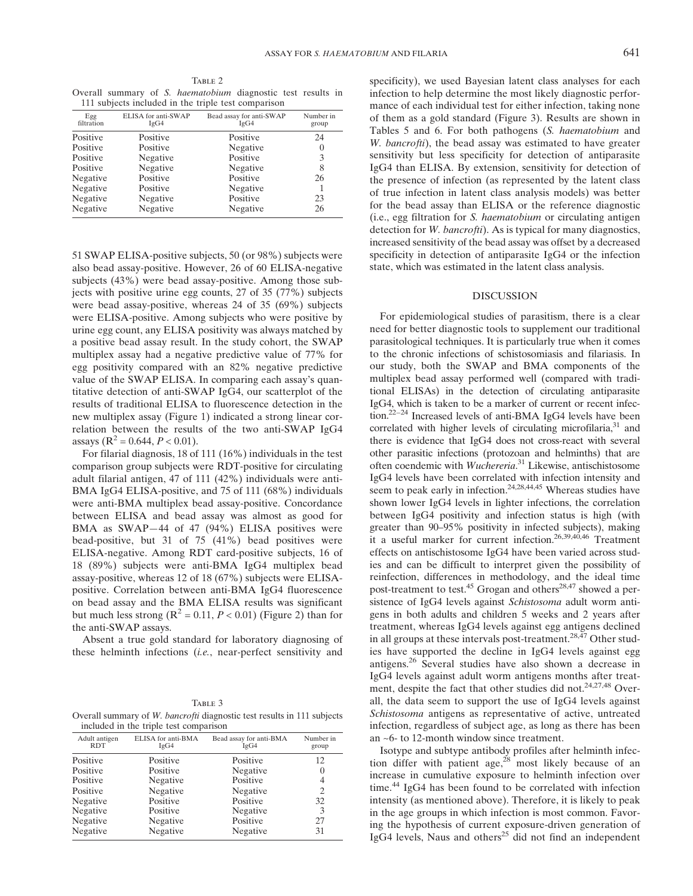TABLE 2 Overall summary of S. haematobium diagnostic test results in 111 subjects included in the triple test comparison

|                   |                             | 111 bacjeets meraded in the triple test companion |                    |
|-------------------|-----------------------------|---------------------------------------------------|--------------------|
| Egg<br>filtration | ELISA for anti-SWAP<br>IgG4 | Bead assay for anti-SWAP<br>IgG4                  | Number in<br>group |
| Positive          | Positive                    | Positive                                          | 24                 |
| Positive          | Positive                    | Negative                                          | $\left( \right)$   |
| Positive          | Negative                    | Positive                                          | 3                  |
| Positive          | Negative                    | Negative                                          | 8                  |
| Negative          | Positive                    | Positive                                          | 26                 |
| Negative          | Positive                    | Negative                                          |                    |
| Negative          | Negative                    | Positive                                          | 23                 |
| Negative          | Negative                    | Negative                                          | 26                 |

51 SWAP ELISA-positive subjects, 50 (or 98%) subjects were also bead assay-positive. However, 26 of 60 ELISA-negative subjects (43%) were bead assay-positive. Among those subjects with positive urine egg counts, 27 of 35 (77%) subjects were bead assay-positive, whereas 24 of 35 (69%) subjects were ELISA-positive. Among subjects who were positive by urine egg count, any ELISA positivity was always matched by a positive bead assay result. In the study cohort, the SWAP multiplex assay had a negative predictive value of 77% for egg positivity compared with an 82% negative predictive value of the SWAP ELISA. In comparing each assay's quantitative detection of anti-SWAP IgG4, our scatterplot of the results of traditional ELISA to fluorescence detection in the new multiplex assay (Figure 1) indicated a strong linear correlation between the results of the two anti-SWAP IgG4 assays ( $R^2 = 0.644$ ,  $P < 0.01$ ).

For filarial diagnosis, 18 of 111 (16%) individuals in the test comparison group subjects were RDT-positive for circulating adult filarial antigen, 47 of 111 (42%) individuals were anti-BMA IgG4 ELISA-positive, and 75 of 111 (68%) individuals were anti-BMA multiplex bead assay-positive. Concordance between ELISA and bead assay was almost as good for BMA as SWAP—44 of 47 (94%) ELISA positives were bead-positive, but 31 of 75 (41%) bead positives were ELISA-negative. Among RDT card-positive subjects, 16 of 18 (89%) subjects were anti-BMA IgG4 multiplex bead assay-positive, whereas 12 of 18 (67%) subjects were ELISApositive. Correlation between anti-BMA IgG4 fluorescence on bead assay and the BMA ELISA results was significant but much less strong ( $R^2 = 0.11$ ,  $P < 0.01$ ) (Figure 2) than for the anti-SWAP assays.

Absent a true gold standard for laboratory diagnosing of these helminth infections (i.e., near-perfect sensitivity and

TABLE 3 Overall summary of W. bancrofti diagnostic test results in 111 subjects included in the triple test comparison

|                             | moracea in the triple test companion |                                 |                    |
|-----------------------------|--------------------------------------|---------------------------------|--------------------|
| Adult antigen<br><b>RDT</b> | ELISA for anti-BMA<br>IgG4           | Bead assay for anti-BMA<br>IgG4 | Number in<br>group |
| Positive                    | Positive                             | Positive                        | 12                 |
| Positive                    | Positive                             | Negative                        | $\theta$           |
| Positive                    | Negative                             | Positive                        | 4                  |
| Positive                    | Negative                             | Negative                        | 2                  |
| Negative                    | Positive                             | Positive                        | 32                 |
| Negative                    | Positive                             | Negative                        | 3                  |
| Negative                    | Negative                             | Positive                        | 27                 |
| Negative                    | Negative                             | Negative                        | 31                 |

specificity), we used Bayesian latent class analyses for each infection to help determine the most likely diagnostic performance of each individual test for either infection, taking none of them as a gold standard (Figure 3). Results are shown in Tables 5 and 6. For both pathogens (S. haematobium and W. bancrofti), the bead assay was estimated to have greater sensitivity but less specificity for detection of antiparasite IgG4 than ELISA. By extension, sensitivity for detection of the presence of infection (as represented by the latent class of true infection in latent class analysis models) was better for the bead assay than ELISA or the reference diagnostic (i.e., egg filtration for S. haematobium or circulating antigen detection for  $W$ . *bancrofti*). As is typical for many diagnostics, increased sensitivity of the bead assay was offset by a decreased specificity in detection of antiparasite IgG4 or the infection state, which was estimated in the latent class analysis.

# DISCUSSION

For epidemiological studies of parasitism, there is a clear need for better diagnostic tools to supplement our traditional parasitological techniques. It is particularly true when it comes to the chronic infections of schistosomiasis and filariasis. In our study, both the SWAP and BMA components of the multiplex bead assay performed well (compared with traditional ELISAs) in the detection of circulating antiparasite IgG4, which is taken to be a marker of current or recent infection.<sup>22–24</sup> Increased levels of anti-BMA IgG4 levels have been correlated with higher levels of circulating microfilaria, $31$  and there is evidence that IgG4 does not cross-react with several other parasitic infections (protozoan and helminths) that are often coendemic with Wuchereria.<sup>31</sup> Likewise, antischistosome IgG4 levels have been correlated with infection intensity and seem to peak early in infection.<sup>24,28,44,45</sup> Whereas studies have shown lower IgG4 levels in lighter infections, the correlation between IgG4 positivity and infection status is high (with greater than 90–95% positivity in infected subjects), making it a useful marker for current infection.26,39,40,46 Treatment effects on antischistosome IgG4 have been varied across studies and can be difficult to interpret given the possibility of reinfection, differences in methodology, and the ideal time post-treatment to test.<sup>45</sup> Grogan and others<sup>28,47</sup> showed a persistence of IgG4 levels against Schistosoma adult worm antigens in both adults and children 5 weeks and 2 years after treatment, whereas IgG4 levels against egg antigens declined in all groups at these intervals post-treatment.<sup>28,47</sup> Other studies have supported the decline in IgG4 levels against egg antigens.<sup>26</sup> Several studies have also shown a decrease in IgG4 levels against adult worm antigens months after treatment, despite the fact that other studies did not.<sup>24,27,48</sup> Overall, the data seem to support the use of IgG4 levels against Schistosoma antigens as representative of active, untreated infection, regardless of subject age, as long as there has been an ~6- to 12-month window since treatment.

Isotype and subtype antibody profiles after helminth infection differ with patient age, $28 \text{ most likely because of an}$ increase in cumulative exposure to helminth infection over time.<sup>44</sup> IgG4 has been found to be correlated with infection intensity (as mentioned above). Therefore, it is likely to peak in the age groups in which infection is most common. Favoring the hypothesis of current exposure-driven generation of IgG4 levels, Naus and others $^{25}$  did not find an independent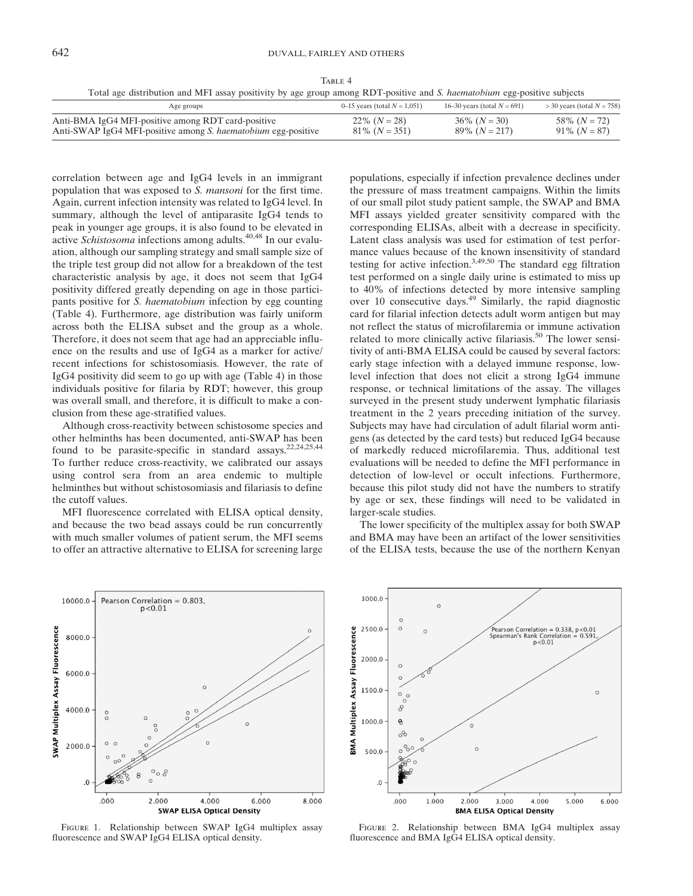TABLE 4 Total age distribution and MFI assay positivity by age group among RDT-positive and S. haematobium egg-positive subjects

| Age groups                                                           | 0–15 years (total $N = 1,051$ ) | 16–30 years (total $N = 691$ ) | $>$ 30 years (total $N = 758$ ) |
|----------------------------------------------------------------------|---------------------------------|--------------------------------|---------------------------------|
| Anti-BMA IgG4 MFI-positive among RDT card-positive                   | $22\%$ $(N = 28)$               | $36\%$ $(N = 30)$              | 58\% $(N = 72)$                 |
| Anti-SWAP IgG4 MFI-positive among <i>S. haematobium</i> egg-positive | $81\%$ $(N = 351)$              | $89\%$ $(N = 217)$             | $91\%$ $(N = 87)$               |

correlation between age and IgG4 levels in an immigrant population that was exposed to S. mansoni for the first time. Again, current infection intensity was related to IgG4 level. In summary, although the level of antiparasite IgG4 tends to peak in younger age groups, it is also found to be elevated in active Schistosoma infections among adults.40,48 In our evaluation, although our sampling strategy and small sample size of the triple test group did not allow for a breakdown of the test characteristic analysis by age, it does not seem that IgG4 positivity differed greatly depending on age in those participants positive for S. haematobium infection by egg counting (Table 4). Furthermore, age distribution was fairly uniform across both the ELISA subset and the group as a whole. Therefore, it does not seem that age had an appreciable influence on the results and use of IgG4 as a marker for active/ recent infections for schistosomiasis. However, the rate of IgG4 positivity did seem to go up with age (Table 4) in those individuals positive for filaria by RDT; however, this group was overall small, and therefore, it is difficult to make a conclusion from these age-stratified values.

Although cross-reactivity between schistosome species and other helminths has been documented, anti-SWAP has been found to be parasite-specific in standard assays.<sup>22,24,25,44</sup> To further reduce cross-reactivity, we calibrated our assays using control sera from an area endemic to multiple helminthes but without schistosomiasis and filariasis to define the cutoff values.

MFI fluorescence correlated with ELISA optical density, and because the two bead assays could be run concurrently with much smaller volumes of patient serum, the MFI seems to offer an attractive alternative to ELISA for screening large

populations, especially if infection prevalence declines under the pressure of mass treatment campaigns. Within the limits of our small pilot study patient sample, the SWAP and BMA MFI assays yielded greater sensitivity compared with the corresponding ELISAs, albeit with a decrease in specificity. Latent class analysis was used for estimation of test performance values because of the known insensitivity of standard testing for active infection.3,49,50 The standard egg filtration test performed on a single daily urine is estimated to miss up to 40% of infections detected by more intensive sampling over 10 consecutive days.<sup>49</sup> Similarly, the rapid diagnostic card for filarial infection detects adult worm antigen but may not reflect the status of microfilaremia or immune activation related to more clinically active filariasis.<sup>50</sup> The lower sensitivity of anti-BMA ELISA could be caused by several factors: early stage infection with a delayed immune response, lowlevel infection that does not elicit a strong IgG4 immune response, or technical limitations of the assay. The villages surveyed in the present study underwent lymphatic filariasis treatment in the 2 years preceding initiation of the survey. Subjects may have had circulation of adult filarial worm antigens (as detected by the card tests) but reduced IgG4 because of markedly reduced microfilaremia. Thus, additional test evaluations will be needed to define the MFI performance in detection of low-level or occult infections. Furthermore, because this pilot study did not have the numbers to stratify by age or sex, these findings will need to be validated in larger-scale studies.

The lower specificity of the multiplex assay for both SWAP and BMA may have been an artifact of the lower sensitivities of the ELISA tests, because the use of the northern Kenyan



Figure 1. Relationship between SWAP IgG4 multiplex assay fluorescence and SWAP IgG4 ELISA optical density.



Figure 2. Relationship between BMA IgG4 multiplex assay fluorescence and BMA IgG4 ELISA optical density.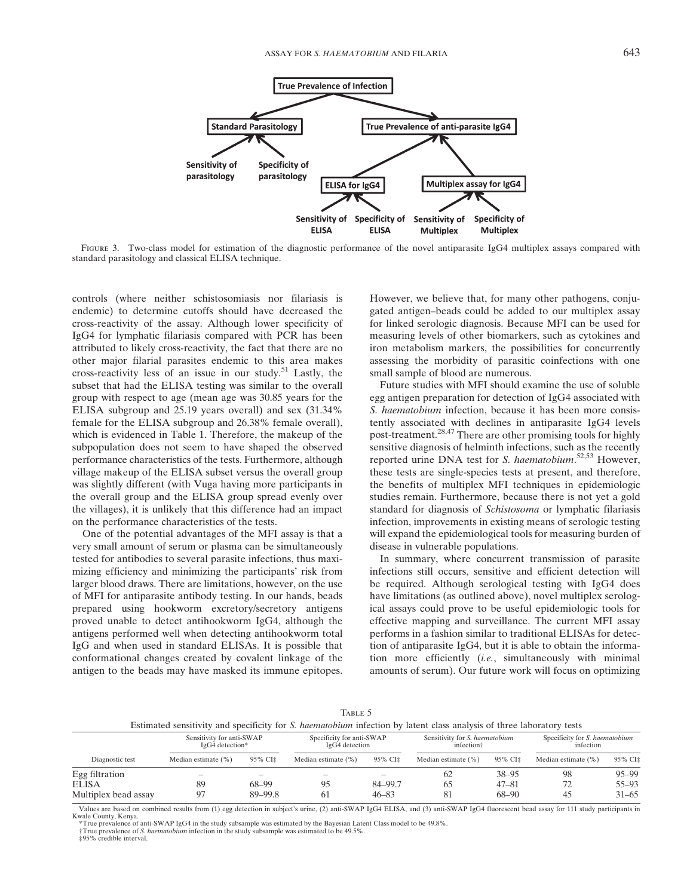

FIGURE 3. Two-class model for estimation of the diagnostic performance of the novel antiparasite IgG4 multiplex assays compared with standard parasitology and classical ELISA technique.

controls (where neither schistosomiasis nor filariasis is endemic) to determine cutoffs should have decreased the cross-reactivity of the assay. Although lower specificity of IgG4 for lymphatic filariasis compared with PCR has been attributed to likely cross-reactivity, the fact that there are no other major filarial parasites endemic to this area makes cross-reactivity less of an issue in our study.<sup>51</sup> Lastly, the subset that had the ELISA testing was similar to the overall group with respect to age (mean age was 30.85 years for the ELISA subgroup and 25.19 years overall) and sex (31.34% female for the ELISA subgroup and 26.38% female overall), which is evidenced in Table 1. Therefore, the makeup of the subpopulation does not seem to have shaped the observed performance characteristics of the tests. Furthermore, although village makeup of the ELISA subset versus the overall group was slightly different (with Vuga having more participants in the overall group and the ELISA group spread evenly over the villages), it is unlikely that this difference had an impact on the performance characteristics of the tests.

One of the potential advantages of the MFI assay is that a very small amount of serum or plasma can be simultaneously tested for antibodies to several parasite infections, thus maximizing efficiency and minimizing the participants' risk from larger blood draws. There are limitations, however, on the use of MFI for antiparasite antibody testing. In our hands, beads prepared using hookworm excretory/secretory antigens proved unable to detect antihookworm IgG4, although the antigens performed well when detecting antihookworm total IgG and when used in standard ELISAs. It is possible that conformational changes created by covalent linkage of the antigen to the beads may have masked its immune epitopes. However, we believe that, for many other pathogens, conjugated antigen–beads could be added to our multiplex assay for linked serologic diagnosis. Because MFI can be used for measuring levels of other biomarkers, such as cytokines and iron metabolism markers, the possibilities for concurrently assessing the morbidity of parasitic coinfections with one small sample of blood are numerous.

Future studies with MFI should examine the use of soluble egg antigen preparation for detection of IgG4 associated with S. haematobium infection, because it has been more consistently associated with declines in antiparasite IgG4 levels post-treatment.28,47 There are other promising tools for highly sensitive diagnosis of helminth infections, such as the recently reported urine DNA test for S. haematobium.<sup>52,53</sup> However, these tests are single-species tests at present, and therefore, the benefits of multiplex MFI techniques in epidemiologic studies remain. Furthermore, because there is not yet a gold standard for diagnosis of Schistosoma or lymphatic filariasis infection, improvements in existing means of serologic testing will expand the epidemiological tools for measuring burden of disease in vulnerable populations.

In summary, where concurrent transmission of parasite infections still occurs, sensitive and efficient detection will be required. Although serological testing with IgG4 does have limitations (as outlined above), novel multiplex serological assays could prove to be useful epidemiologic tools for effective mapping and surveillance. The current MFI assay performs in a fashion similar to traditional ELISAs for detection of antiparasite IgG4, but it is able to obtain the information more efficiently (i.e., simultaneously with minimal amounts of serum). Our future work will focus on optimizing

| ARI | ÷. |
|-----|----|
|-----|----|

|                                                 |                        |                                                      | TABLE 5<br>Estimated sensitivity and specificity for S. <i>haematobium</i> infection by latent class analysis of three laboratory tests |                                                          |                     |                                                    |                        |                                     |
|-------------------------------------------------|------------------------|------------------------------------------------------|-----------------------------------------------------------------------------------------------------------------------------------------|----------------------------------------------------------|---------------------|----------------------------------------------------|------------------------|-------------------------------------|
| Sensitivity for anti-SWAP<br>IgG4 detection*    |                        | Specificity for anti-SWAP<br>$I\text{g}G4$ detection |                                                                                                                                         | Sensitivity for S. haematobium<br>infection <sup>†</sup> |                     | Specificity for <i>S. haematobium</i><br>infection |                        |                                     |
| Diagnostic test                                 | Median estimate $(\%)$ | 95% CI <sup>±</sup>                                  | Median estimate $(\%)$                                                                                                                  | 95% CI±                                                  | Median estimate (%) | 95% CI‡                                            | Median estimate $(\%)$ | 95% CI‡                             |
| Egg filtration<br>ELISA<br>Multiplex bead assay | 89<br>Q <sub>7</sub>   | 68-99<br>89-99.8                                     | 95<br>-61                                                                                                                               | 84-99.7<br>$46 - 83$                                     | 62<br>65<br>81      | $38 - 95$<br>$47 - 81$<br>68-90                    | 98<br>45               | $95 - 99$<br>$55 - 93$<br>$31 - 65$ |

Values are based on combined results from (1) egg detection in subject's urine, (2) anti-SWAP IgG4 ELISA, and (3) anti-SWAP IgG4 fluorescent bead assay for 111 study participants in Kwale County, Kenya.

\*True prevalence of anti-SWAP IgG4 in the study subsample was estimated by the Bayesian Latent Class model to be 49.8%. †True prevalence of S. haematobium infection in the study subsample was estimated to be 49.5%.

‡95% credible interval.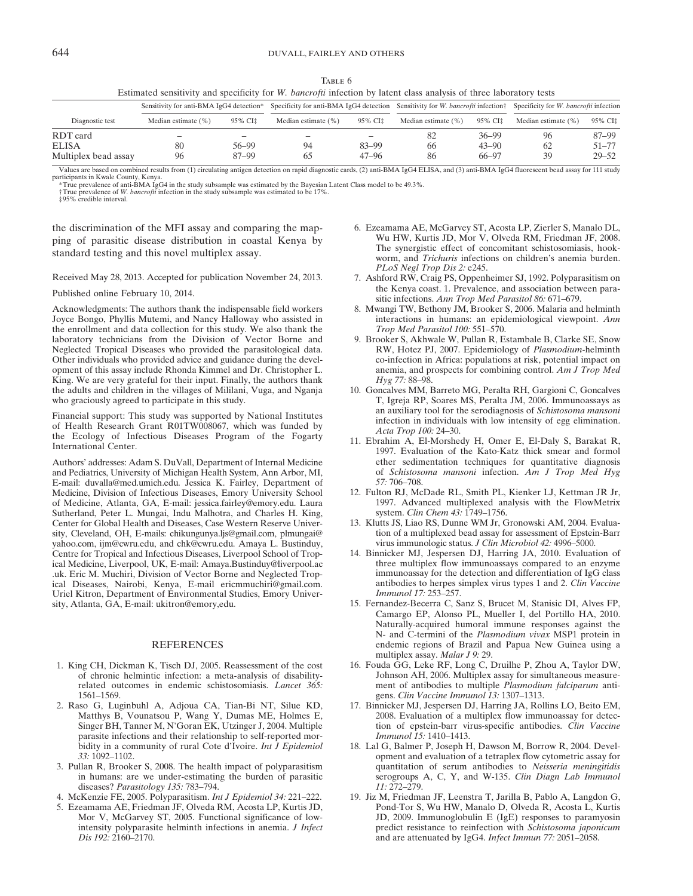TABLE 6

Estimated sensitivity and specificity for W. bancrofti infection by latent class analysis of three laboratory tests

| Sensitivity for anti-BMA IgG4 detection* |                          | Specificity for anti-BMA IgG4 detection Sensitivity for W. bancrofti infection |                     |           |                        | Specificity for W. bancrofti infection |                        |           |
|------------------------------------------|--------------------------|--------------------------------------------------------------------------------|---------------------|-----------|------------------------|----------------------------------------|------------------------|-----------|
| Diagnostic test                          | Median estimate $(\%)$   | 95% CI‡                                                                        | Median estimate (%) | 95% CI‡   | Median estimate $(\%)$ | 95% CI‡                                | Median estimate $(\%)$ | 95% CI‡   |
| RDT card                                 | $\overline{\phantom{a}}$ | -                                                                              | $\sim$              | -         | 82                     | $36 - 99$                              | 96                     | 87-99     |
| <b>ELISA</b>                             | 80                       | 56-99                                                                          | 94                  | 83-99     | 66                     | $43 - 90$                              | 62                     | $51 - 77$ |
| Multiplex bead assay                     | 96                       | 87-99                                                                          | რ.                  | $47 - 96$ | 86                     | 66-97                                  | 39                     | $29 - 52$ |

Values are based on combined results from (1) circulating antigen detection on rapid diagnostic cards, (2) anti-BMA IgG4 ELISA, and (3) anti-BMA IgG4 fluorescent bead assay for 111 study participants in Kwale County, Kenya.

\*True prevalence of anti-BMA IgG4 in the study subsample was estimated by the Bayesian Latent Class model to be 49.3%. †True prevalence of W. bancrofti infection in the study subsample was estimated to be 17%.

‡95% credible interval.

the discrimination of the MFI assay and comparing the mapping of parasitic disease distribution in coastal Kenya by standard testing and this novel multiplex assay.

Received May 28, 2013. Accepted for publication November 24, 2013.

Published online February 10, 2014.

Acknowledgments: The authors thank the indispensable field workers Joyce Bongo, Phyllis Mutemi, and Nancy Halloway who assisted in the enrollment and data collection for this study. We also thank the laboratory technicians from the Division of Vector Borne and Neglected Tropical Diseases who provided the parasitological data. Other individuals who provided advice and guidance during the development of this assay include Rhonda Kimmel and Dr. Christopher L. King. We are very grateful for their input. Finally, the authors thank the adults and children in the villages of Mililani, Vuga, and Nganja who graciously agreed to participate in this study.

Financial support: This study was supported by National Institutes of Health Research Grant R01TW008067, which was funded by the Ecology of Infectious Diseases Program of the Fogarty International Center.

Authors' addresses: Adam S. DuVall, Department of Internal Medicine and Pediatrics, University of Michigan Health System, Ann Arbor, MI, E-mail: duvalla@med.umich.edu. Jessica K. Fairley, Department of Medicine, Division of Infectious Diseases, Emory University School of Medicine, Atlanta, GA, E-mail: jessica.fairley@emory.edu. Laura Sutherland, Peter L. Mungai, Indu Malhotra, and Charles H. King, Center for Global Health and Diseases, Case Western Reserve University, Cleveland, OH, E-mails: chikungunya.ljs@gmail.com, plmungai@ yahoo.com, ijm@cwru.edu, and chk@cwru.edu. Amaya L. Bustinduy, Centre for Tropical and Infectious Diseases, Liverpool School of Tropical Medicine, Liverpool, UK, E-mail: Amaya.Bustinduy@liverpool.ac .uk. Eric M. Muchiri, Division of Vector Borne and Neglected Tropical Diseases, Nairobi, Kenya, E-mail ericmmuchiri@gmail.com. Uriel Kitron, Department of Environmental Studies, Emory University, Atlanta, GA, E-mail: ukitron@emory,edu.

## REFERENCES

- 1. King CH, Dickman K, Tisch DJ, 2005. Reassessment of the cost of chronic helmintic infection: a meta-analysis of disabilityrelated outcomes in endemic schistosomiasis. Lancet 365: 1561–1569.
- 2. Raso G, Luginbuhl A, Adjoua CA, Tian-Bi NT, Silue KD, Matthys B, Vounatsou P, Wang Y, Dumas ME, Holmes E, Singer BH, Tanner M, N'Goran EK, Utzinger J, 2004. Multiple parasite infections and their relationship to self-reported morbidity in a community of rural Cote d'Ivoire. Int  $\overline{J}$  Epidemiol 33: 1092–1102.
- 3. Pullan R, Brooker S, 2008. The health impact of polyparasitism in humans: are we under-estimating the burden of parasitic diseases? Parasitology 135: 783–794.
- 4. McKenzie FE, 2005. Polyparasitism. Int J Epidemiol 34: 221–222.
- 5. Ezeamama AE, Friedman JF, Olveda RM, Acosta LP, Kurtis JD, Mor V, McGarvey ST, 2005. Functional significance of lowintensity polyparasite helminth infections in anemia. J Infect Dis 192: 2160–2170.
- 6. Ezeamama AE, McGarvey ST, Acosta LP, Zierler S, Manalo DL, Wu HW, Kurtis JD, Mor V, Olveda RM, Friedman JF, 2008. The synergistic effect of concomitant schistosomiasis, hookworm, and Trichuris infections on children's anemia burden. PLoS Negl Trop Dis 2: e245.
- 7. Ashford RW, Craig PS, Oppenheimer SJ, 1992. Polyparasitism on the Kenya coast. 1. Prevalence, and association between parasitic infections. Ann Trop Med Parasitol 86: 671-679.
- 8. Mwangi TW, Bethony JM, Brooker S, 2006. Malaria and helminth interactions in humans: an epidemiological viewpoint. Ann Trop Med Parasitol 100: 551–570.
- 9. Brooker S, Akhwale W, Pullan R, Estambale B, Clarke SE, Snow RW, Hotez PJ, 2007. Epidemiology of Plasmodium-helminth co-infection in Africa: populations at risk, potential impact on anemia, and prospects for combining control. Am J Trop Med Hyg 77: 88–98.
- 10. Goncalves MM, Barreto MG, Peralta RH, Gargioni C, Goncalves T, Igreja RP, Soares MS, Peralta JM, 2006. Immunoassays as an auxiliary tool for the serodiagnosis of Schistosoma mansoni infection in individuals with low intensity of egg elimination. Acta Trop 100: 24–30.
- 11. Ebrahim A, El-Morshedy H, Omer E, El-Daly S, Barakat R, 1997. Evaluation of the Kato-Katz thick smear and formol ether sedimentation techniques for quantitative diagnosis of Schistosoma mansoni infection. Am J Trop Med Hyg 57: 706–708.
- 12. Fulton RJ, McDade RL, Smith PL, Kienker LJ, Kettman JR Jr, 1997. Advanced multiplexed analysis with the FlowMetrix system. Clin Chem 43: 1749–1756.
- 13. Klutts JS, Liao RS, Dunne WM Jr, Gronowski AM, 2004. Evaluation of a multiplexed bead assay for assessment of Epstein-Barr virus immunologic status. J Clin Microbiol 42: 4996-5000.
- 14. Binnicker MJ, Jespersen DJ, Harring JA, 2010. Evaluation of three multiplex flow immunoassays compared to an enzyme immunoassay for the detection and differentiation of IgG class antibodies to herpes simplex virus types 1 and 2. Clin Vaccine Immunol 17: 253–257.
- 15. Fernandez-Becerra C, Sanz S, Brucet M, Stanisic DI, Alves FP, Camargo EP, Alonso PL, Mueller I, del Portillo HA, 2010. Naturally-acquired humoral immune responses against the N- and C-termini of the Plasmodium vivax MSP1 protein in endemic regions of Brazil and Papua New Guinea using a multiplex assay. Malar J 9: 29.
- 16. Fouda GG, Leke RF, Long C, Druilhe P, Zhou A, Taylor DW, Johnson AH, 2006. Multiplex assay for simultaneous measurement of antibodies to multiple Plasmodium falciparum antigens. Clin Vaccine Immunol 13: 1307–1313.
- 17. Binnicker MJ, Jespersen DJ, Harring JA, Rollins LO, Beito EM, 2008. Evaluation of a multiplex flow immunoassay for detection of epstein-barr virus-specific antibodies. Clin Vaccine Immunol 15: 1410–1413.
- 18. Lal G, Balmer P, Joseph H, Dawson M, Borrow R, 2004. Development and evaluation of a tetraplex flow cytometric assay for quantitation of serum antibodies to Neisseria meningitidis serogroups A, C, Y, and W-135. Clin Diagn Lab Immunol 11: 272–279.
- 19. Jiz M, Friedman JF, Leenstra T, Jarilla B, Pablo A, Langdon G, Pond-Tor S, Wu HW, Manalo D, Olveda R, Acosta L, Kurtis JD, 2009. Immunoglobulin E (IgE) responses to paramyosin predict resistance to reinfection with Schistosoma japonicum and are attenuated by IgG4. Infect Immun 77: 2051–2058.